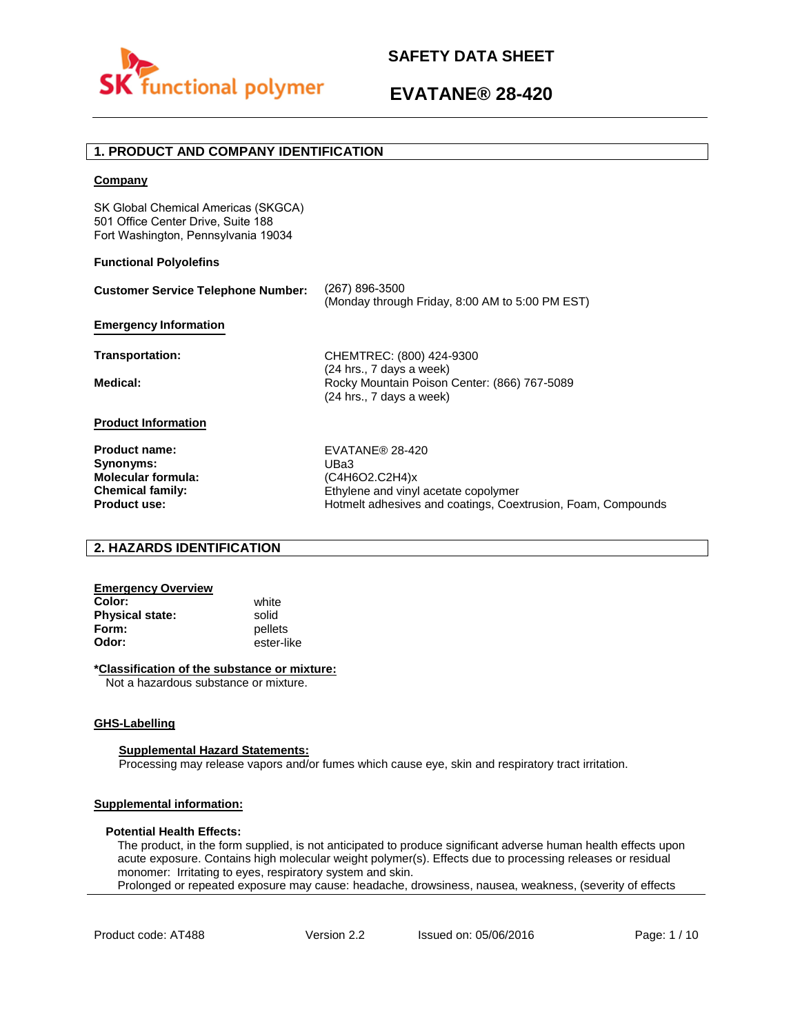

# **EVATANE® 28-420**

# **1. PRODUCT AND COMPANY IDENTIFICATION**

## **Company**

SK Global Chemical Americas (SKGCA) 501 Office Center Drive, Suite 188 Fort Washington, Pennsylvania 19034

## **Functional Polyolefins**

| (267) 896-3500<br>(Monday through Friday, 8:00 AM to 5:00 PM EST)                 |
|-----------------------------------------------------------------------------------|
|                                                                                   |
| CHEMTREC: (800) 424-9300<br>$(24$ hrs., 7 days a week)                            |
| Rocky Mountain Poison Center: (866) 767-5089<br>(24 hrs., 7 days a week)          |
|                                                                                   |
| EVATANE® 28-420<br>UBa3<br>(C4H6O2.C2H4)x<br>Ethylene and vinyl acetate copolymer |
|                                                                                   |

# **2. HAZARDS IDENTIFICATION**

# **Emergency Overview**

**Color:** white **Physical state:** solid<br> **Form:** nellet **Form:** pellets<br> **Odor:** ester-li

**Product use:**

**Odor:** ester-like

## **\*Classification of the substance or mixture:**

Not a hazardous substance or mixture.

## **GHS-Labelling**

### **Supplemental Hazard Statements:**

Processing may release vapors and/or fumes which cause eye, skin and respiratory tract irritation.

# **Supplemental information:**

## **Potential Health Effects:**

The product, in the form supplied, is not anticipated to produce significant adverse human health effects upon acute exposure. Contains high molecular weight polymer(s). Effects due to processing releases or residual monomer: Irritating to eyes, respiratory system and skin. Prolonged or repeated exposure may cause: headache, drowsiness, nausea, weakness, (severity of effects

Hotmelt adhesives and coatings, Coextrusion, Foam, Compounds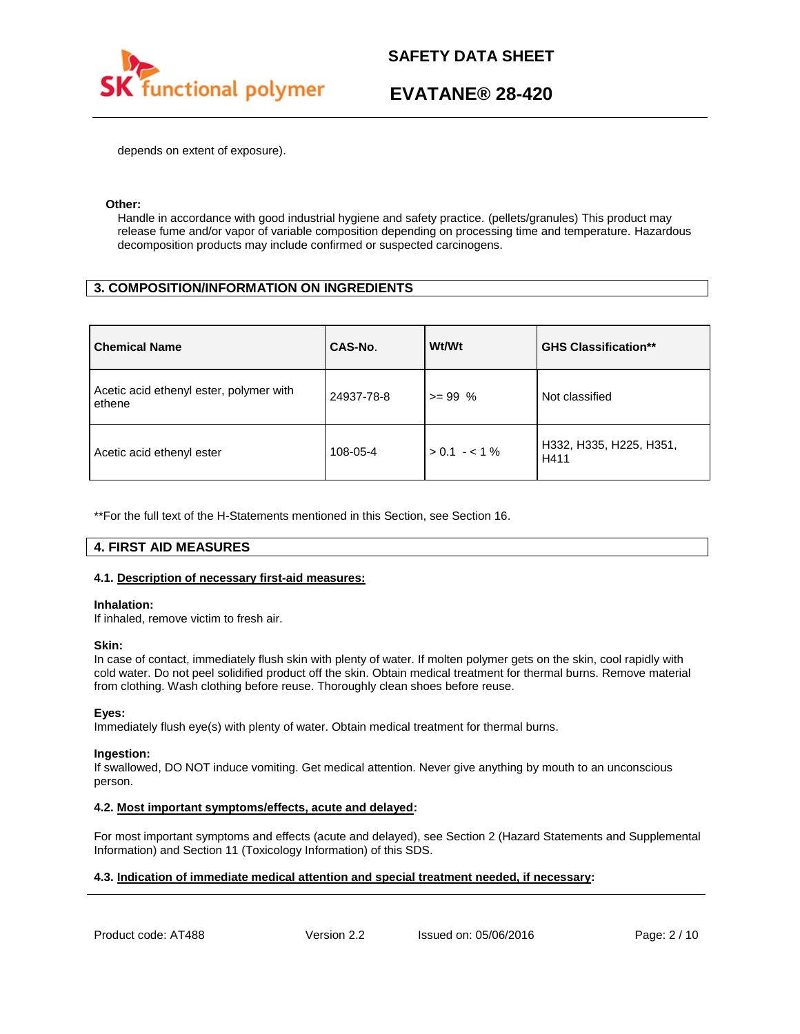

# **EVATANE® 28-420**

depends on extent of exposure).

## **Other:**

Handle in accordance with good industrial hygiene and safety practice. (pellets/granules) This product may release fume and/or vapor of variable composition depending on processing time and temperature. Hazardous decomposition products may include confirmed or suspected carcinogens.

# **3. COMPOSITION/INFORMATION ON INGREDIENTS**

| <b>Chemical Name</b>                              | CAS-No.    | Wt/Wt           | <b>GHS Classification**</b>     |
|---------------------------------------------------|------------|-----------------|---------------------------------|
| Acetic acid ethenyl ester, polymer with<br>ethene | 24937-78-8 | $>= 99\%$       | Not classified                  |
| Acetic acid ethenyl ester                         | 108-05-4   | $> 0.1 - < 1\%$ | H332, H335, H225, H351,<br>H411 |

\*\*For the full text of the H-Statements mentioned in this Section, see Section 16.

# **4. FIRST AID MEASURES**

## **4.1. Description of necessary first-aid measures:**

## **Inhalation:**

If inhaled, remove victim to fresh air.

## **Skin:**

In case of contact, immediately flush skin with plenty of water. If molten polymer gets on the skin, cool rapidly with cold water. Do not peel solidified product off the skin. Obtain medical treatment for thermal burns. Remove material from clothing. Wash clothing before reuse. Thoroughly clean shoes before reuse.

## **Eyes:**

Immediately flush eye(s) with plenty of water. Obtain medical treatment for thermal burns.

### **Ingestion:**

If swallowed, DO NOT induce vomiting. Get medical attention. Never give anything by mouth to an unconscious person.

## **4.2. Most important symptoms/effects, acute and delayed:**

For most important symptoms and effects (acute and delayed), see Section 2 (Hazard Statements and Supplemental Information) and Section 11 (Toxicology Information) of this SDS.

# **4.3. Indication of immediate medical attention and special treatment needed, if necessary:**

Product code: AT488 Version 2.2 Issued on: 05/06/2016 Page: 2/10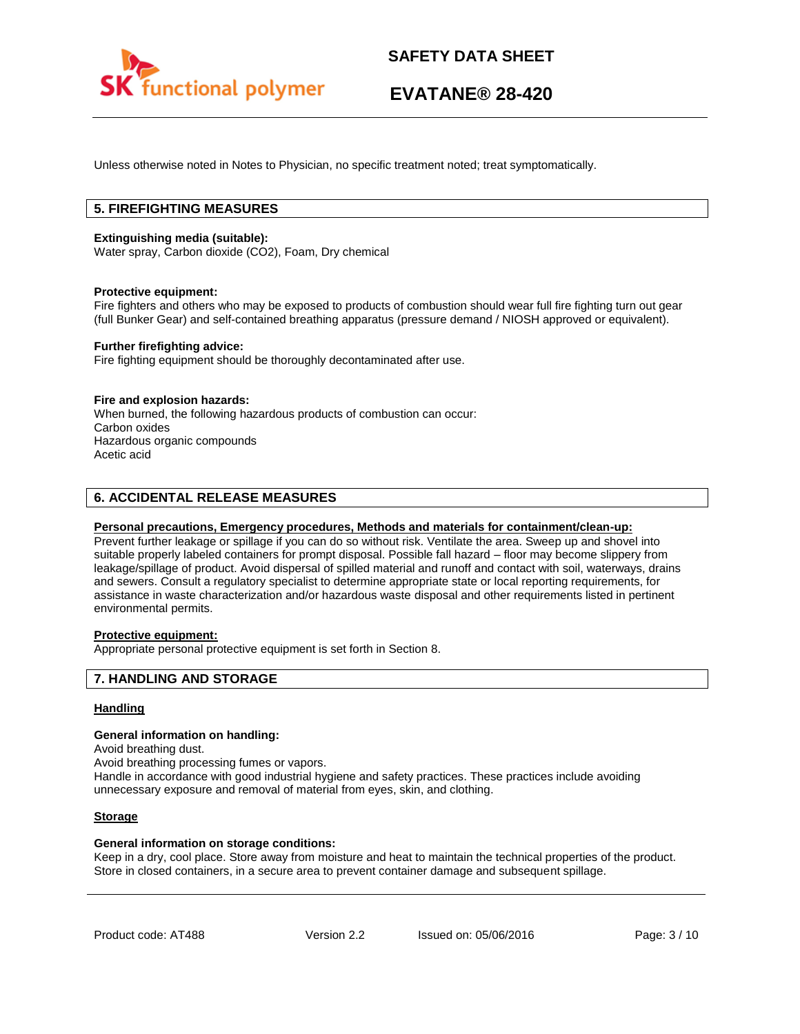

# **EVATANE® 28-420**

Unless otherwise noted in Notes to Physician, no specific treatment noted; treat symptomatically.

# **5. FIREFIGHTING MEASURES**

## **Extinguishing media (suitable):**

Water spray, Carbon dioxide (CO2), Foam, Dry chemical

### **Protective equipment:**

Fire fighters and others who may be exposed to products of combustion should wear full fire fighting turn out gear (full Bunker Gear) and self-contained breathing apparatus (pressure demand / NIOSH approved or equivalent).

## **Further firefighting advice:**

Fire fighting equipment should be thoroughly decontaminated after use.

### **Fire and explosion hazards:**

When burned, the following hazardous products of combustion can occur: Carbon oxides Hazardous organic compounds Acetic acid

# **6. ACCIDENTAL RELEASE MEASURES**

## **Personal precautions, Emergency procedures, Methods and materials for containment/clean-up:**

Prevent further leakage or spillage if you can do so without risk. Ventilate the area. Sweep up and shovel into suitable properly labeled containers for prompt disposal. Possible fall hazard – floor may become slippery from leakage/spillage of product. Avoid dispersal of spilled material and runoff and contact with soil, waterways, drains and sewers. Consult a regulatory specialist to determine appropriate state or local reporting requirements, for assistance in waste characterization and/or hazardous waste disposal and other requirements listed in pertinent environmental permits.

# **Protective equipment:**

Appropriate personal protective equipment is set forth in Section 8.

## **7. HANDLING AND STORAGE**

## **Handling**

### **General information on handling:**

Avoid breathing dust.

Avoid breathing processing fumes or vapors.

Handle in accordance with good industrial hygiene and safety practices. These practices include avoiding unnecessary exposure and removal of material from eyes, skin, and clothing.

## **Storage**

### **General information on storage conditions:**

Keep in a dry, cool place. Store away from moisture and heat to maintain the technical properties of the product. Store in closed containers, in a secure area to prevent container damage and subsequent spillage.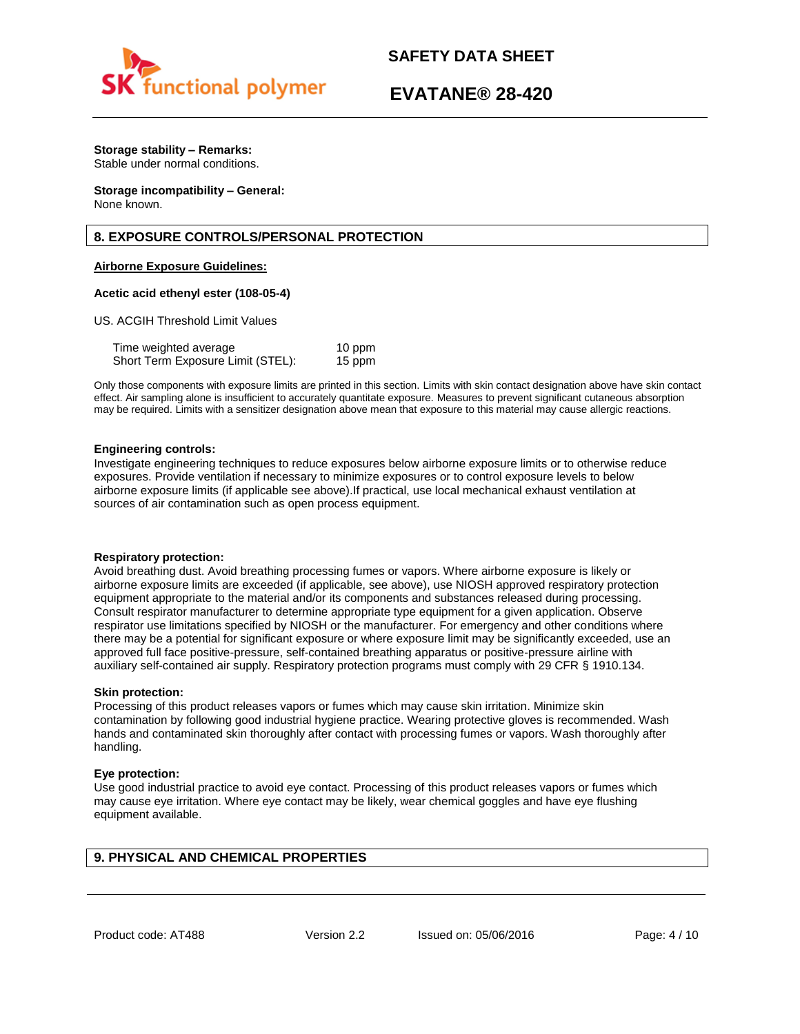

# **EVATANE® 28-420**

# **Storage stability – Remarks:**

Stable under normal conditions.

#### **Storage incompatibility – General:**  None known.

# **8. EXPOSURE CONTROLS/PERSONAL PROTECTION**

# **Airborne Exposure Guidelines:**

## **Acetic acid ethenyl ester (108-05-4)**

US. ACGIH Threshold Limit Values

| Time weighted average             | 10 ppm |
|-----------------------------------|--------|
| Short Term Exposure Limit (STEL): | 15 ppm |

Only those components with exposure limits are printed in this section. Limits with skin contact designation above have skin contact effect. Air sampling alone is insufficient to accurately quantitate exposure. Measures to prevent significant cutaneous absorption may be required. Limits with a sensitizer designation above mean that exposure to this material may cause allergic reactions.

## **Engineering controls:**

Investigate engineering techniques to reduce exposures below airborne exposure limits or to otherwise reduce exposures. Provide ventilation if necessary to minimize exposures or to control exposure levels to below airborne exposure limits (if applicable see above).If practical, use local mechanical exhaust ventilation at sources of air contamination such as open process equipment.

### **Respiratory protection:**

Avoid breathing dust. Avoid breathing processing fumes or vapors. Where airborne exposure is likely or airborne exposure limits are exceeded (if applicable, see above), use NIOSH approved respiratory protection equipment appropriate to the material and/or its components and substances released during processing. Consult respirator manufacturer to determine appropriate type equipment for a given application. Observe respirator use limitations specified by NIOSH or the manufacturer. For emergency and other conditions where there may be a potential for significant exposure or where exposure limit may be significantly exceeded, use an approved full face positive-pressure, self-contained breathing apparatus or positive-pressure airline with auxiliary self-contained air supply. Respiratory protection programs must comply with 29 CFR § 1910.134.

## **Skin protection:**

Processing of this product releases vapors or fumes which may cause skin irritation. Minimize skin contamination by following good industrial hygiene practice. Wearing protective gloves is recommended. Wash hands and contaminated skin thoroughly after contact with processing fumes or vapors. Wash thoroughly after handling.

## **Eye protection:**

Use good industrial practice to avoid eye contact. Processing of this product releases vapors or fumes which may cause eye irritation. Where eye contact may be likely, wear chemical goggles and have eye flushing equipment available.

# **9. PHYSICAL AND CHEMICAL PROPERTIES**

Product code: AT488 Version 2.2 Issued on: 05/06/2016 Page: 4/10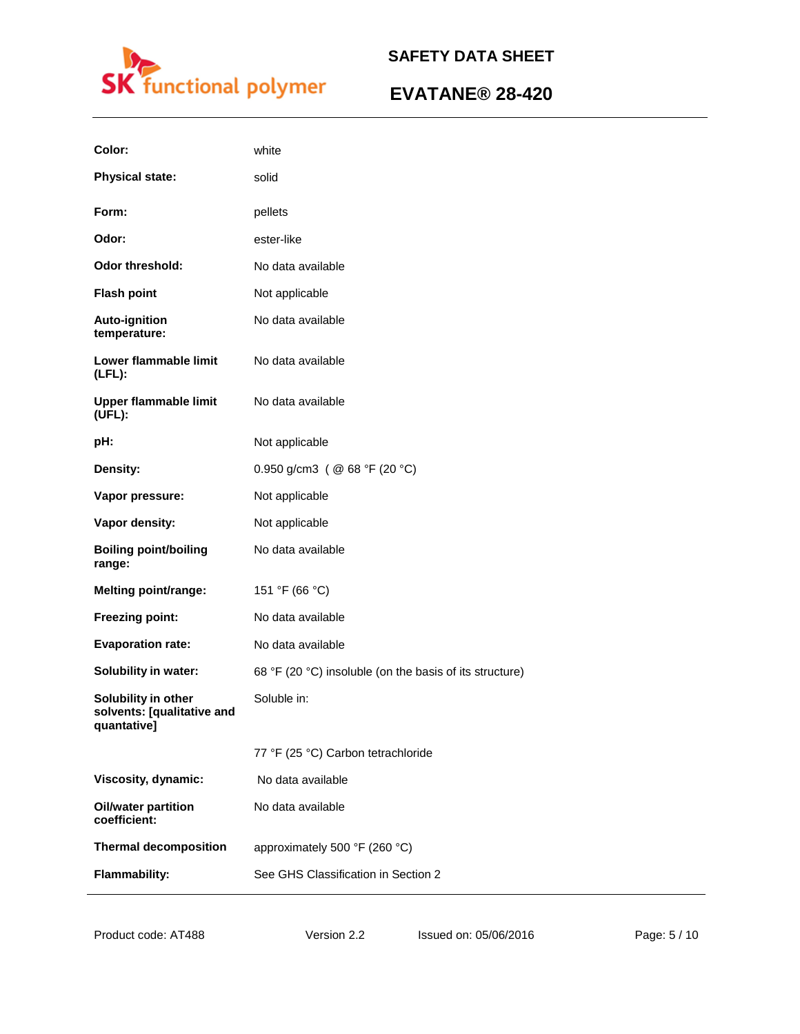

# **EVATANE® 28-420**

| Color:                                                           | white                                                   |
|------------------------------------------------------------------|---------------------------------------------------------|
| <b>Physical state:</b>                                           | solid                                                   |
| Form:                                                            | pellets                                                 |
| Odor:                                                            | ester-like                                              |
| <b>Odor threshold:</b>                                           | No data available                                       |
| <b>Flash point</b>                                               | Not applicable                                          |
| <b>Auto-ignition</b><br>temperature:                             | No data available                                       |
| Lower flammable limit<br>$(LFL)$ :                               | No data available                                       |
| <b>Upper flammable limit</b><br>(UEL):                           | No data available                                       |
| pH:                                                              | Not applicable                                          |
| Density:                                                         | 0.950 g/cm3 ( $@$ 68 °F (20 °C)                         |
| Vapor pressure:                                                  | Not applicable                                          |
| Vapor density:                                                   | Not applicable                                          |
| <b>Boiling point/boiling</b><br>range:                           | No data available                                       |
| <b>Melting point/range:</b>                                      | 151 °F (66 °C)                                          |
| Freezing point:                                                  | No data available                                       |
| <b>Evaporation rate:</b>                                         | No data available                                       |
| <b>Solubility in water:</b>                                      | 68 °F (20 °C) insoluble (on the basis of its structure) |
| Solubility in other<br>solvents: [qualitative and<br>quantative] | Soluble in:                                             |
|                                                                  | 77 °F (25 °C) Carbon tetrachloride                      |
| Viscosity, dynamic:                                              | No data available                                       |
| <b>Oil/water partition</b><br>coefficient:                       | No data available                                       |
| <b>Thermal decomposition</b>                                     | approximately 500 °F (260 °C)                           |
| <b>Flammability:</b>                                             | See GHS Classification in Section 2                     |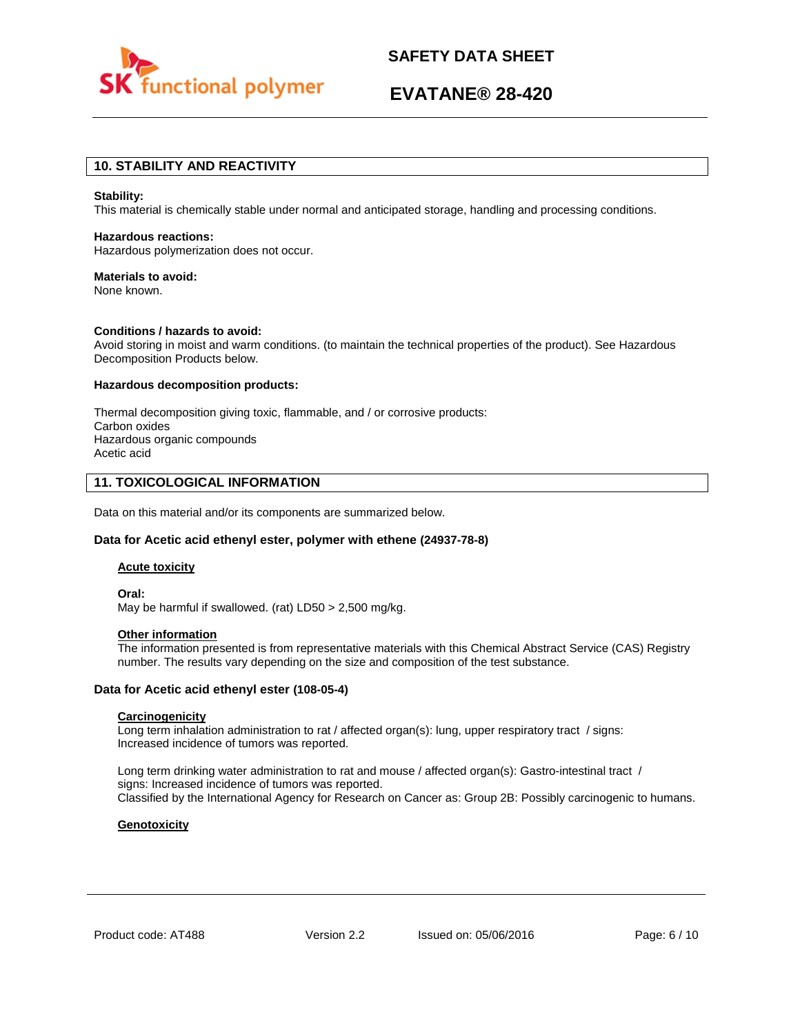

# **EVATANE® 28-420**

# **10. STABILITY AND REACTIVITY**

#### **Stability:**

This material is chemically stable under normal and anticipated storage, handling and processing conditions.

### **Hazardous reactions:**

Hazardous polymerization does not occur.

### **Materials to avoid:**

None known.

## **Conditions / hazards to avoid:**

Avoid storing in moist and warm conditions. (to maintain the technical properties of the product). See Hazardous Decomposition Products below.

## **Hazardous decomposition products:**

Thermal decomposition giving toxic, flammable, and / or corrosive products: Carbon oxides Hazardous organic compounds Acetic acid

# **11. TOXICOLOGICAL INFORMATION**

Data on this material and/or its components are summarized below.

### **Data for Acetic acid ethenyl ester, polymer with ethene (24937-78-8)**

## **Acute toxicity**

**Oral:** May be harmful if swallowed. (rat) LD50 > 2,500 mg/kg.

#### **Other information**

The information presented is from representative materials with this Chemical Abstract Service (CAS) Registry number. The results vary depending on the size and composition of the test substance.

## **Data for Acetic acid ethenyl ester (108-05-4)**

## **Carcinogenicity**

Long term inhalation administration to rat / affected organ(s): lung, upper respiratory tract / signs: Increased incidence of tumors was reported.

Long term drinking water administration to rat and mouse / affected organ(s): Gastro-intestinal tract / signs: Increased incidence of tumors was reported. Classified by the International Agency for Research on Cancer as: Group 2B: Possibly carcinogenic to humans.

### **Genotoxicity**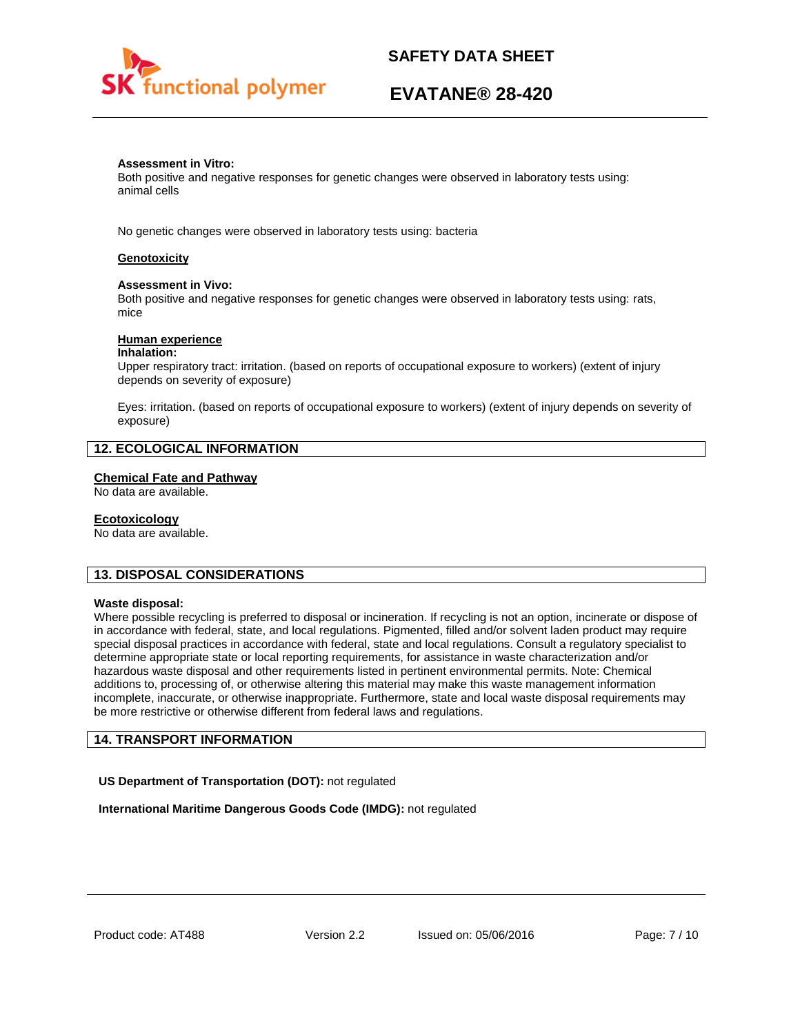

# **EVATANE® 28-420**

### **Assessment in Vitro:**

Both positive and negative responses for genetic changes were observed in laboratory tests using: animal cells

No genetic changes were observed in laboratory tests using: bacteria

## **Genotoxicity**

## **Assessment in Vivo:**

Both positive and negative responses for genetic changes were observed in laboratory tests using: rats, mice

## **Human experience**

### **Inhalation:**

Upper respiratory tract: irritation. (based on reports of occupational exposure to workers) (extent of injury depends on severity of exposure)

Eyes: irritation. (based on reports of occupational exposure to workers) (extent of injury depends on severity of exposure)

# **12. ECOLOGICAL INFORMATION**

## **Chemical Fate and Pathway**

No data are available.

## **Ecotoxicology**

No data are available.

# **13. DISPOSAL CONSIDERATIONS**

### **Waste disposal:**

Where possible recycling is preferred to disposal or incineration. If recycling is not an option, incinerate or dispose of in accordance with federal, state, and local regulations. Pigmented, filled and/or solvent laden product may require special disposal practices in accordance with federal, state and local regulations. Consult a regulatory specialist to determine appropriate state or local reporting requirements, for assistance in waste characterization and/or hazardous waste disposal and other requirements listed in pertinent environmental permits. Note: Chemical additions to, processing of, or otherwise altering this material may make this waste management information incomplete, inaccurate, or otherwise inappropriate. Furthermore, state and local waste disposal requirements may be more restrictive or otherwise different from federal laws and regulations.

# **14. TRANSPORT INFORMATION**

**US Department of Transportation (DOT):** not regulated

**International Maritime Dangerous Goods Code (IMDG):** not regulated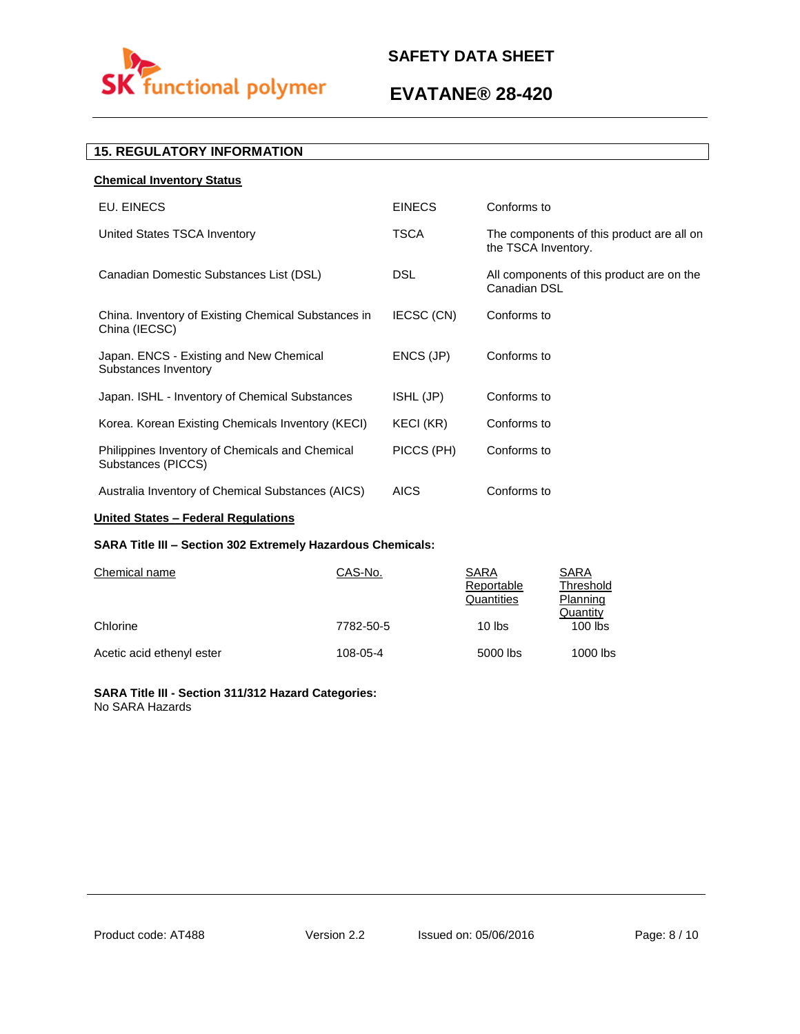

# **EVATANE® 28-420**

# **15. REGULATORY INFORMATION**

| <b>Chemical Inventory Status</b>                                      |               |                                                                  |
|-----------------------------------------------------------------------|---------------|------------------------------------------------------------------|
| EU. EINECS                                                            | <b>EINECS</b> | Conforms to                                                      |
| United States TSCA Inventory                                          | <b>TSCA</b>   | The components of this product are all on<br>the TSCA Inventory. |
| Canadian Domestic Substances List (DSL)                               | <b>DSL</b>    | All components of this product are on the<br>Canadian DSL        |
| China. Inventory of Existing Chemical Substances in<br>China (IECSC)  | IECSC (CN)    | Conforms to                                                      |
| Japan. ENCS - Existing and New Chemical<br>Substances Inventory       | ENCS (JP)     | Conforms to                                                      |
| Japan. ISHL - Inventory of Chemical Substances                        | ISHL (JP)     | Conforms to                                                      |
| Korea. Korean Existing Chemicals Inventory (KECI)                     | KECI (KR)     | Conforms to                                                      |
| Philippines Inventory of Chemicals and Chemical<br>Substances (PICCS) | PICCS (PH)    | Conforms to                                                      |
| Australia Inventory of Chemical Substances (AICS)                     | <b>AICS</b>   | Conforms to                                                      |

# **United States – Federal Regulations**

# **SARA Title III – Section 302 Extremely Hazardous Chemicals:**

| Chemical name             | CAS-No.   | SARA<br>Reportable<br>Quantities | SARA<br>Threshold<br>Planning |
|---------------------------|-----------|----------------------------------|-------------------------------|
| Chlorine                  | 7782-50-5 | $10$ lbs                         | Quantity<br>$100$ lbs         |
| Acetic acid ethenyl ester | 108-05-4  | 5000 lbs                         | 1000 lbs                      |

## **SARA Title III - Section 311/312 Hazard Categories:**  No SARA Hazards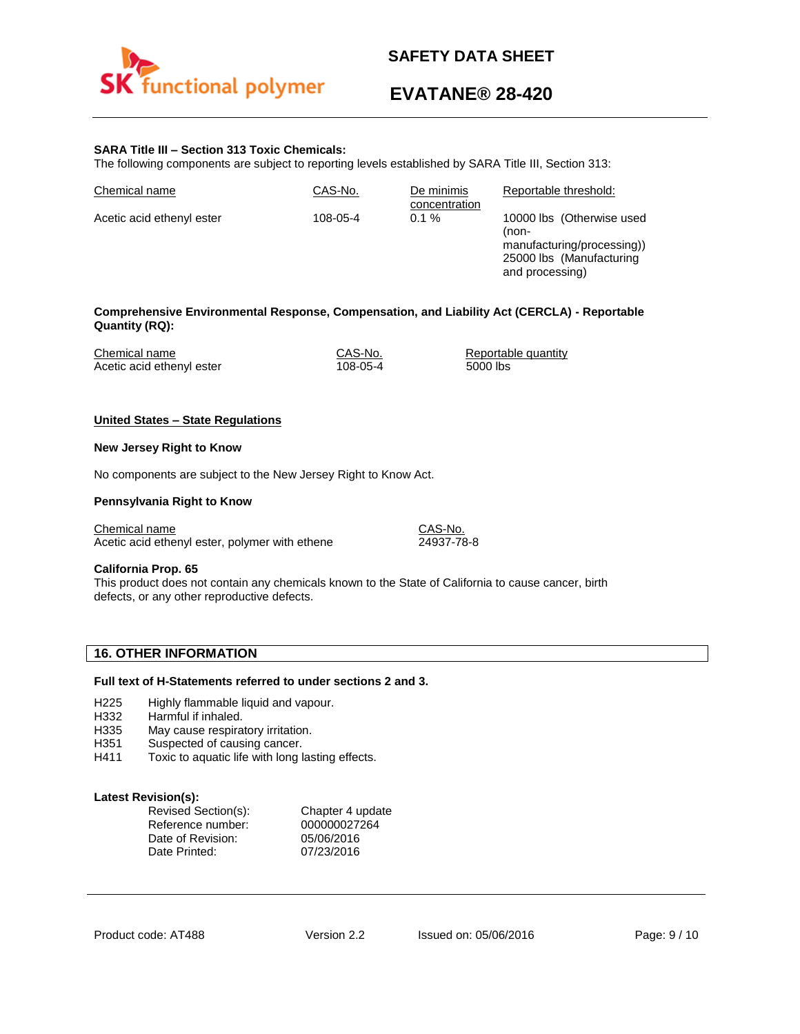

# **EVATANE® 28-420**

## **SARA Title III – Section 313 Toxic Chemicals:**

The following components are subject to reporting levels established by SARA Title III, Section 313:

| Chemical name             | CAS-No.  | De minimis<br>concentration | Reportable threshold:                                                                                           |
|---------------------------|----------|-----------------------------|-----------------------------------------------------------------------------------------------------------------|
| Acetic acid ethenyl ester | 108-05-4 | $0.1 \%$                    | 10000 lbs (Otherwise used<br>(non-<br>manufacturing/processing))<br>25000 lbs (Manufacturing<br>and processing) |

## **Comprehensive Environmental Response, Compensation, and Liability Act (CERCLA) - Reportable Quantity (RQ):**

| Chemical name             | CAS-No.  | Reportable quantity |
|---------------------------|----------|---------------------|
| Acetic acid ethenyl ester | 108-05-4 | 5000 lbs            |

### **United States – State Regulations**

#### **New Jersey Right to Know**

No components are subject to the New Jersey Right to Know Act.

### **Pennsylvania Right to Know**

Chemical name CAS-No. Acetic acid ethenyl ester, polymer with ethene 24937-78-8

### **California Prop. 65**

This product does not contain any chemicals known to the State of California to cause cancer, birth defects, or any other reproductive defects.

# **16. OTHER INFORMATION**

## **Full text of H-Statements referred to under sections 2 and 3.**

- H225 Highly flammable liquid and vapour.
- H332 Harmful if inhaled.
- H335 May cause respiratory irritation.
- H351 Suspected of causing cancer.
- H411 Toxic to aquatic life with long lasting effects.

## **Latest Revision(s):**

| Revised Section(s): | Chapter 4 update |
|---------------------|------------------|
| Reference number:   | 000000027264     |
| Date of Revision:   | 05/06/2016       |
| Date Printed:       | 07/23/2016       |